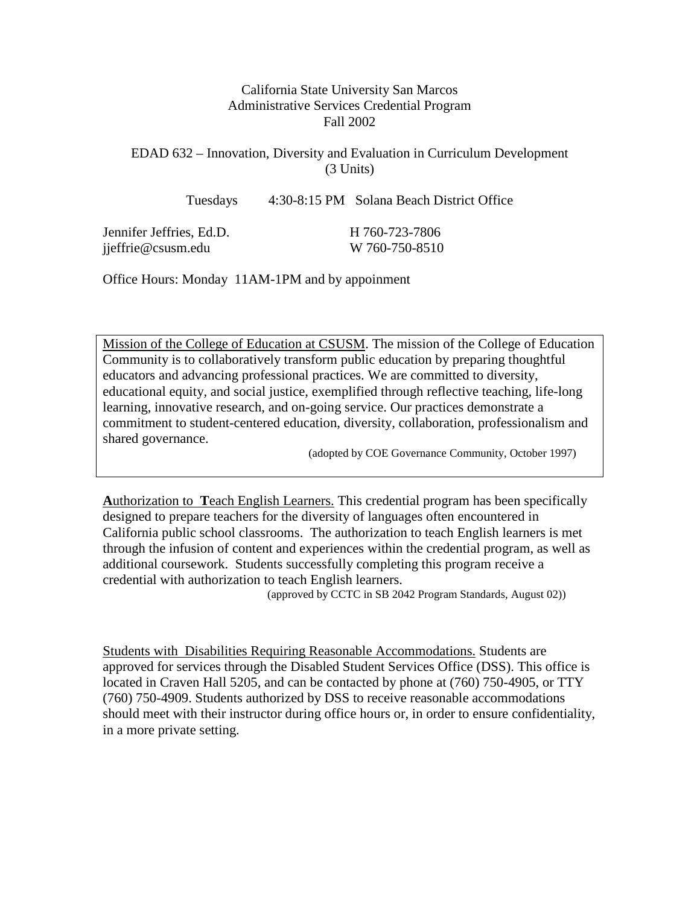# California State University San Marcos Administrative Services Credential Program Fall 2002

# EDAD 632 – Innovation, Diversity and Evaluation in Curriculum Development (3 Units)

Tuesdays 4:30-8:15 PM Solana Beach District Office

| Jennifer Jeffries, Ed.D. | H 760-723-7806 |
|--------------------------|----------------|
| jjeffrie@csusm.edu       | W 760-750-8510 |

Office Hours: Monday 11AM-1PM and by appoinment

Mission of the College of Education at CSUSM. The mission of the College of Education Community is to collaboratively transform public education by preparing thoughtful educators and advancing professional practices. We are committed to diversity, educational equity, and social justice, exemplified through reflective teaching, life-long learning, innovative research, and on-going service. Our practices demonstrate a commitment to student-centered education, diversity, collaboration, professionalism and shared governance.

(adopted by COE Governance Community, October 1997)

**A**uthorization to **T**each English Learners. This credential program has been specifically designed to prepare teachers for the diversity of languages often encountered in California public school classrooms. The authorization to teach English learners is met through the infusion of content and experiences within the credential program, as well as additional coursework. Students successfully completing this program receive a credential with authorization to teach English learners.

(approved by CCTC in SB 2042 Program Standards, August 02))

Students with Disabilities Requiring Reasonable Accommodations. Students are approved for services through the Disabled Student Services Office (DSS). This office is located in Craven Hall 5205, and can be contacted by phone at (760) 750-4905, or TTY (760) 750-4909. Students authorized by DSS to receive reasonable accommodations should meet with their instructor during office hours or, in order to ensure confidentiality, in a more private setting.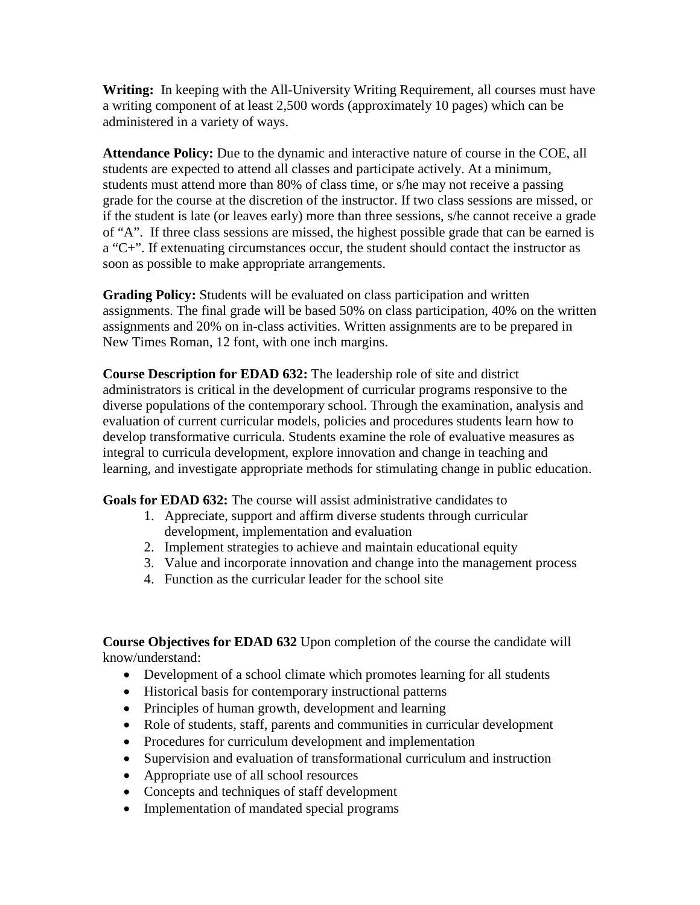**Writing:** In keeping with the All-University Writing Requirement, all courses must have a writing component of at least 2,500 words (approximately 10 pages) which can be administered in a variety of ways.

**Attendance Policy:** Due to the dynamic and interactive nature of course in the COE, all students are expected to attend all classes and participate actively. At a minimum, students must attend more than 80% of class time, or s/he may not receive a passing grade for the course at the discretion of the instructor. If two class sessions are missed, or if the student is late (or leaves early) more than three sessions, s/he cannot receive a grade of "A". If three class sessions are missed, the highest possible grade that can be earned is a "C+". If extenuating circumstances occur, the student should contact the instructor as soon as possible to make appropriate arrangements.

**Grading Policy:** Students will be evaluated on class participation and written assignments. The final grade will be based 50% on class participation, 40% on the written assignments and 20% on in-class activities. Written assignments are to be prepared in New Times Roman, 12 font, with one inch margins.

**Course Description for EDAD 632:** The leadership role of site and district administrators is critical in the development of curricular programs responsive to the diverse populations of the contemporary school. Through the examination, analysis and evaluation of current curricular models, policies and procedures students learn how to develop transformative curricula. Students examine the role of evaluative measures as integral to curricula development, explore innovation and change in teaching and learning, and investigate appropriate methods for stimulating change in public education.

**Goals for EDAD 632:** The course will assist administrative candidates to

- 1. Appreciate, support and affirm diverse students through curricular development, implementation and evaluation
- 2. Implement strategies to achieve and maintain educational equity
- 3. Value and incorporate innovation and change into the management process
- 4. Function as the curricular leader for the school site

**Course Objectives for EDAD 632** Upon completion of the course the candidate will know/understand:

- Development of a school climate which promotes learning for all students
- Historical basis for contemporary instructional patterns
- Principles of human growth, development and learning
- Role of students, staff, parents and communities in curricular development
- Procedures for curriculum development and implementation
- Supervision and evaluation of transformational curriculum and instruction
- Appropriate use of all school resources
- Concepts and techniques of staff development
- Implementation of mandated special programs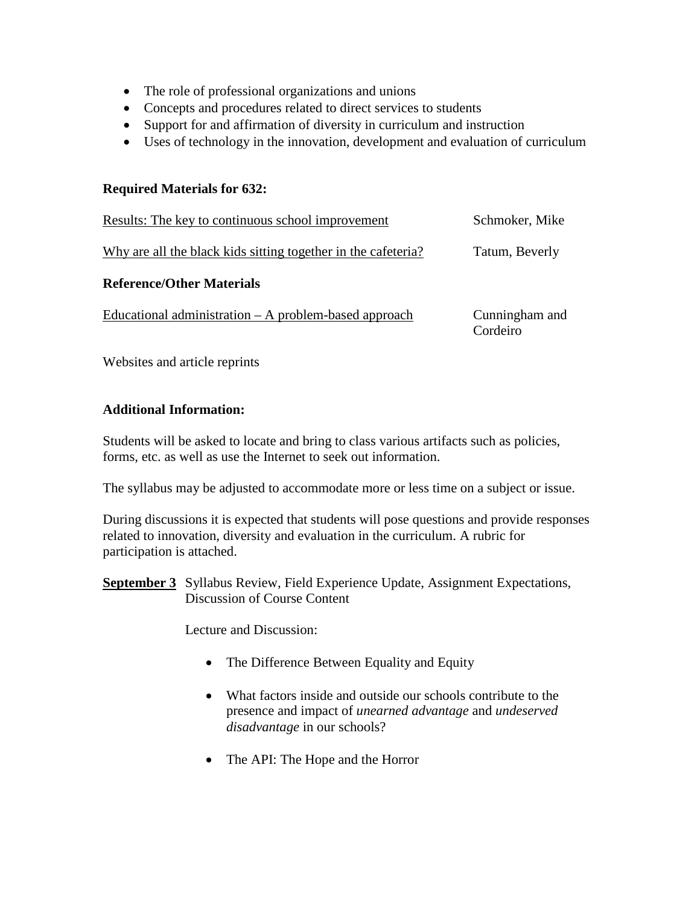- The role of professional organizations and unions
- Concepts and procedures related to direct services to students
- Support for and affirmation of diversity in curriculum and instruction
- Uses of technology in the innovation, development and evaluation of curriculum

# **Required Materials for 632:**

| Results: The key to continuous school improvement             | Schmoker, Mike             |
|---------------------------------------------------------------|----------------------------|
| Why are all the black kids sitting together in the cafeteria? | Tatum, Beverly             |
| <b>Reference/Other Materials</b>                              |                            |
| Educational administration $- A$ problem-based approach       | Cunningham and<br>Cordeiro |

Websites and article reprints

# **Additional Information:**

Students will be asked to locate and bring to class various artifacts such as policies, forms, etc. as well as use the Internet to seek out information.

The syllabus may be adjusted to accommodate more or less time on a subject or issue.

During discussions it is expected that students will pose questions and provide responses related to innovation, diversity and evaluation in the curriculum. A rubric for participation is attached.

**September 3** Syllabus Review, Field Experience Update, Assignment Expectations, Discussion of Course Content

Lecture and Discussion:

- The Difference Between Equality and Equity
- What factors inside and outside our schools contribute to the presence and impact of *unearned advantage* and *undeserved disadvantage* in our schools?
- The API: The Hope and the Horror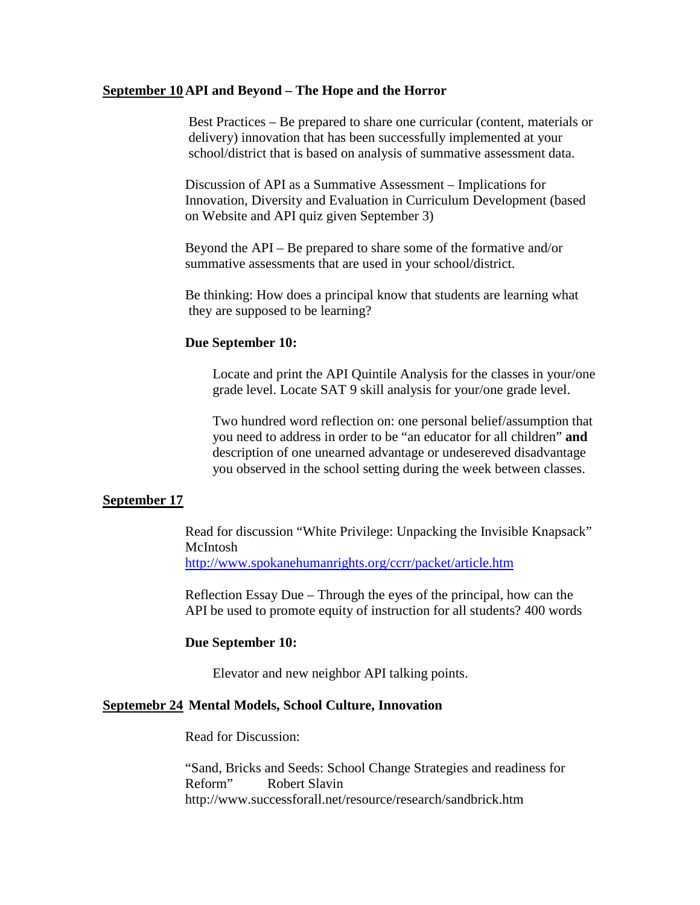## **September 10 API and Beyond – The Hope and the Horror**

Best Practices – Be prepared to share one curricular (content, materials or delivery) innovation that has been successfully implemented at your school/district that is based on analysis of summative assessment data.

Discussion of API as a Summative Assessment – Implications for Innovation, Diversity and Evaluation in Curriculum Development (based on Website and API quiz given September 3)

Beyond the API – Be prepared to share some of the formative and/or summative assessments that are used in your school/district.

Be thinking: How does a principal know that students are learning what they are supposed to be learning?

## **Due September 10:**

Locate and print the API Quintile Analysis for the classes in your/one grade level. Locate SAT 9 skill analysis for your/one grade level.

Two hundred word reflection on: one personal belief/assumption that you need to address in order to be "an educator for all children" **and** description of one unearned advantage or undesereved disadvantage you observed in the school setting during the week between classes.

### **September 17**

Read for discussion "White Privilege: Unpacking the Invisible Knapsack" McIntosh <http://www.spokanehumanrights.org/ccrr/packet/article.htm>

Reflection Essay Due – Through the eyes of the principal, how can the API be used to promote equity of instruction for all students? 400 words

#### **Due September 10:**

Elevator and new neighbor API talking points.

### **Septemebr 24 Mental Models, School Culture, Innovation**

Read for Discussion:

"Sand, Bricks and Seeds: School Change Strategies and readiness for Reform" Robert Slavin http://www.successforall.net/resource/research/sandbrick.htm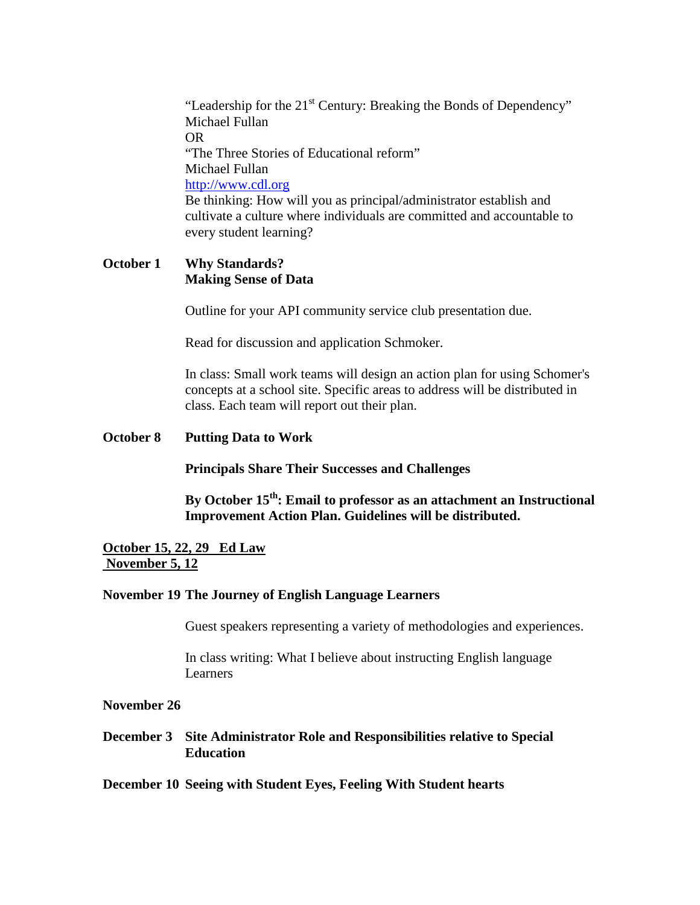"Leadership for the  $21<sup>st</sup>$  Century: Breaking the Bonds of Dependency" Michael Fullan OR "The Three Stories of Educational reform" Michael Fullan [http://www.cdl.org](http://www.cdl.org/) Be thinking: How will you as principal/administrator establish and cultivate a culture where individuals are committed and accountable to every student learning?

# **October 1 Why Standards? Making Sense of Data**

Outline for your API community service club presentation due.

Read for discussion and application Schmoker.

In class: Small work teams will design an action plan for using Schomer's concepts at a school site. Specific areas to address will be distributed in class. Each team will report out their plan.

**October 8 Putting Data to Work**

**Principals Share Their Successes and Challenges**

By October 15<sup>th</sup>: Email to professor as an attachment an Instructional **Improvement Action Plan. Guidelines will be distributed.** 

# **October 15, 22, 29 Ed Law November 5, 12**

### **November 19 The Journey of English Language Learners**

Guest speakers representing a variety of methodologies and experiences.

In class writing: What I believe about instructing English language Learners

## **November 26**

**December 3 Site Administrator Role and Responsibilities relative to Special Education**

## **December 10 Seeing with Student Eyes, Feeling With Student hearts**